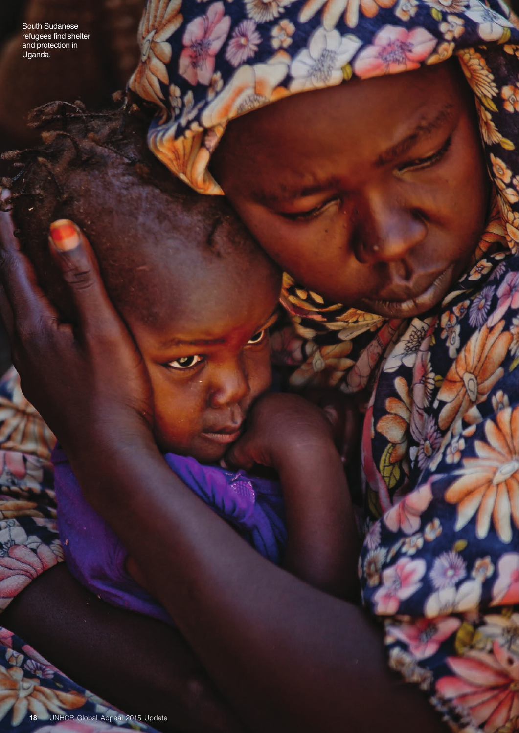South Sudanese refugees find shelter and protection in Uganda.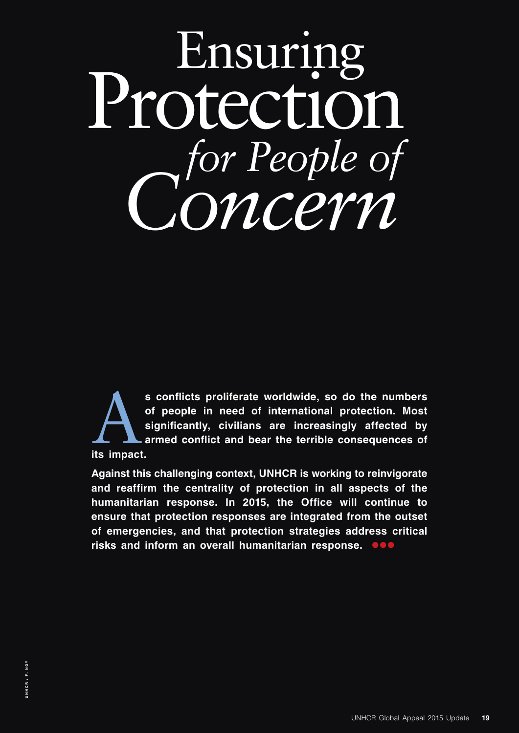# Protection Ensuring *for People of Concern*

s conflicts proliferate worldwide, so do the numbers of people in need of international protection. Most significantly, civilians are increasingly affected by armed conflict and bear the terrible consequences of its impact **of people in need of international protection. Most significantly, civilians are increasingly affected by armed conflict and bear the terrible consequences of its impact.**

**Against this challenging context, UNHCR is working to reinvigorate and reaffirm the centrality of protection in all aspects of the humanitarian response. In 2015, the Office will continue to ensure that protection responses are integrated from the outset of emergencies, and that protection strategies address critical**  risks and inform an overall humanitarian response. **One**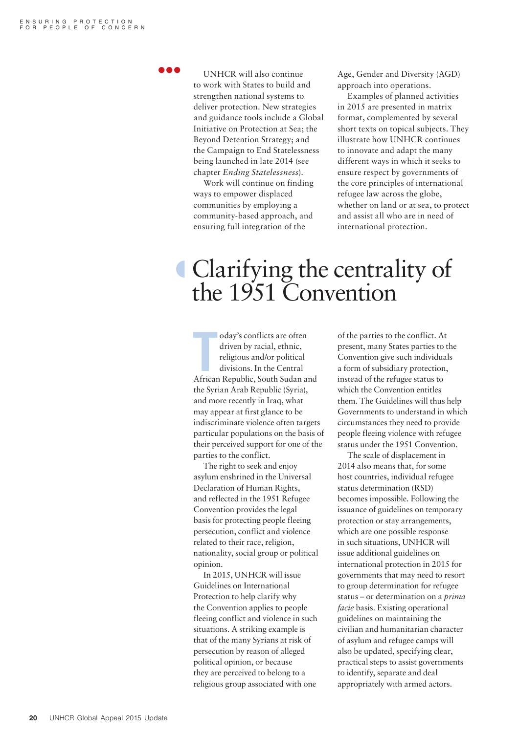l o e

UNHCR will also continue to work with States to build and strengthen national systems to deliver protection. New strategies and guidance tools include a Global Initiative on Protection at Sea; the Beyond Detention Strategy; and the Campaign to End Statelessness being launched in late 2014 (see chapter *Ending Statelessness*).

Work will continue on finding ways to empower displaced communities by employing a community-based approach, and ensuring full integration of the

Age, Gender and Diversity (AGD) approach into operations.

Examples of planned activities in 2015 are presented in matrix format, complemented by several short texts on topical subjects. They illustrate how UNHCR continues to innovate and adapt the many different ways in which it seeks to ensure respect by governments of the core principles of international refugee law across the globe, whether on land or at sea, to protect and assist all who are in need of international protection.

## º Clarifying the centrality of the 1951 Convention

oday's conflicts are often<br>
driven by racial, ethnic,<br>
religious and/or political<br>
divisions. In the Central<br>
African Republic, South Sudan and oday's conflicts are often driven by racial, ethnic, religious and/or political divisions. In the Central the Syrian Arab Republic (Syria), and more recently in Iraq, what may appear at first glance to be indiscriminate violence often targets particular populations on the basis of their perceived support for one of the parties to the conflict.

The right to seek and enjoy asylum enshrined in the Universal Declaration of Human Rights, and reflected in the 1951 Refugee Convention provides the legal basis for protecting people fleeing persecution, conflict and violence related to their race, religion, nationality, social group or political opinion.

In 2015, UNHCR will issue Guidelines on International Protection to help clarify why the Convention applies to people fleeing conflict and violence in such situations. A striking example is that of the many Syrians at risk of persecution by reason of alleged political opinion, or because they are perceived to belong to a religious group associated with one

of the parties to the conflict. At present, many States parties to the Convention give such individuals a form of subsidiary protection, instead of the refugee status to which the Convention entitles them. The Guidelines will thus help Governments to understand in which circumstances they need to provide people fleeing violence with refugee status under the 1951 Convention.

The scale of displacement in 2014 also means that, for some host countries, individual refugee status determination (RSD) becomes impossible. Following the issuance of guidelines on temporary protection or stay arrangements, which are one possible response in such situations, UNHCR will issue additional guidelines on international protection in 2015 for governments that may need to resort to group determination for refugee status – or determination on a *prima facie* basis. Existing operational guidelines on maintaining the civilian and humanitarian character of asylum and refugee camps will also be updated, specifying clear, practical steps to assist governments to identify, separate and deal appropriately with armed actors.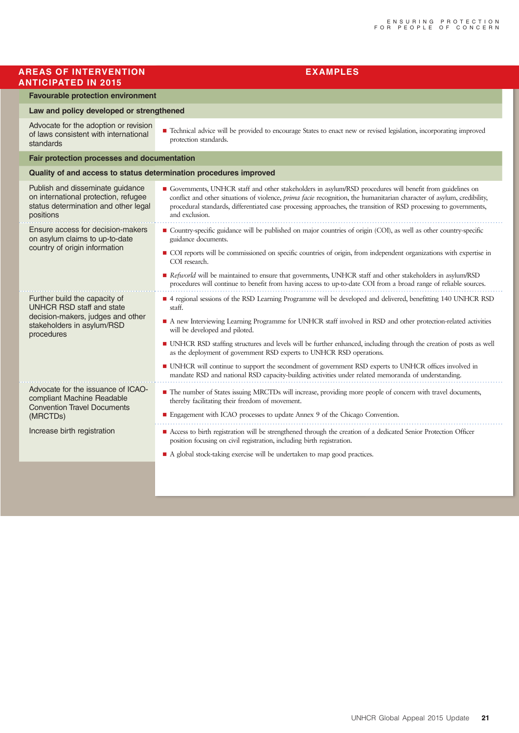| <b>AREAS OF INTERVENTION</b><br><b>ANTICIPATED IN 2015</b>                                                                                         | <b>EXAMPLES</b>                                                                                                                                                                                                                                                                                                                                                                                   |  |
|----------------------------------------------------------------------------------------------------------------------------------------------------|---------------------------------------------------------------------------------------------------------------------------------------------------------------------------------------------------------------------------------------------------------------------------------------------------------------------------------------------------------------------------------------------------|--|
| <b>Favourable protection environment</b>                                                                                                           |                                                                                                                                                                                                                                                                                                                                                                                                   |  |
| Law and policy developed or strengthened                                                                                                           |                                                                                                                                                                                                                                                                                                                                                                                                   |  |
| Advocate for the adoption or revision<br>of laws consistent with international<br>standards                                                        | Technical advice will be provided to encourage States to enact new or revised legislation, incorporating improved<br>protection standards.                                                                                                                                                                                                                                                        |  |
| Fair protection processes and documentation                                                                                                        |                                                                                                                                                                                                                                                                                                                                                                                                   |  |
| Quality of and access to status determination procedures improved                                                                                  |                                                                                                                                                                                                                                                                                                                                                                                                   |  |
| Publish and disseminate guidance<br>on international protection, refugee<br>status determination and other legal<br>positions                      | Governments, UNHCR staff and other stakeholders in asylum/RSD procedures will benefit from guidelines on<br>conflict and other situations of violence, prima facie recognition, the humanitarian character of asylum, credibility,<br>procedural standards, differentiated case processing approaches, the transition of RSD processing to governments,<br>and exclusion.                         |  |
| Ensure access for decision-makers<br>on asylum claims to up-to-date<br>country of origin information                                               | Country-specific guidance will be published on major countries of origin (COI), as well as other country-specific<br>guidance documents.<br>COI reports will be commissioned on specific countries of origin, from independent organizations with expertise in                                                                                                                                    |  |
|                                                                                                                                                    | COI research.<br>Refuorld will be maintained to ensure that governments, UNHCR staff and other stakeholders in asylum/RSD<br>procedures will continue to benefit from having access to up-to-date COI from a broad range of reliable sources.                                                                                                                                                     |  |
| Further build the capacity of<br><b>UNHCR RSD staff and state</b><br>decision-makers, judges and other<br>stakeholders in asylum/RSD<br>procedures | 4 regional sessions of the RSD Learning Programme will be developed and delivered, benefitting 140 UNHCR RSD<br>staff.<br>A new Interviewing Learning Programme for UNHCR staff involved in RSD and other protection-related activities<br>will be developed and piloted.<br>• UNHCR RSD staffing structures and levels will be further enhanced, including through the creation of posts as well |  |
|                                                                                                                                                    | as the deployment of government RSD experts to UNHCR RSD operations.<br>I UNHCR will continue to support the secondment of government RSD experts to UNHCR offices involved in<br>mandate RSD and national RSD capacity-building activities under related memoranda of understanding.                                                                                                             |  |
| Advocate for the issuance of ICAO-<br>compliant Machine Readable<br><b>Convention Travel Documents</b><br>(MRCTDs)                                 | The number of States issuing MRCTDs will increase, providing more people of concern with travel documents,<br>thereby facilitating their freedom of movement.<br>$\blacksquare$<br>Engagement with ICAO processes to update Annex 9 of the Chicago Convention.                                                                                                                                    |  |
| Increase birth registration                                                                                                                        | Access to birth registration will be strengthened through the creation of a dedicated Senior Protection Officer<br>position focusing on civil registration, including birth registration.                                                                                                                                                                                                         |  |
|                                                                                                                                                    | A global stock-taking exercise will be undertaken to map good practices.                                                                                                                                                                                                                                                                                                                          |  |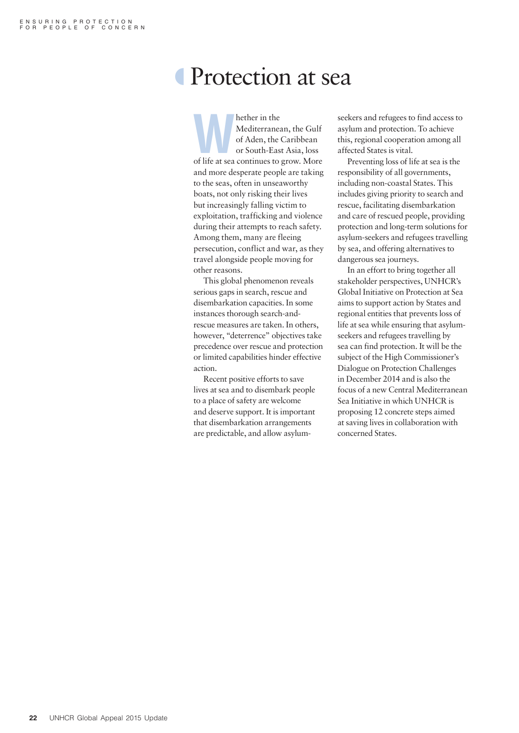## Protection at sea

Mediterranean, the Gulf of Aden, the Caribbean or South-East Asia, loss of life at sea continues to grow. More Mediterranean, the Gulf of Aden, the Caribbean or South-East Asia, loss and more desperate people are taking to the seas, often in unseaworthy boats, not only risking their lives but increasingly falling victim to exploitation, trafficking and violence during their attempts to reach safety. Among them, many are fleeing persecution, conflict and war, as they travel alongside people moving for other reasons.

This global phenomenon reveals serious gaps in search, rescue and disembarkation capacities. In some instances thorough search-andrescue measures are taken. In others, however, "deterrence" objectives take precedence over rescue and protection or limited capabilities hinder effective action.

Recent positive efforts to save lives at sea and to disembark people to a place of safety are welcome and deserve support. It is important that disembarkation arrangements are predictable, and allow asylumseekers and refugees to find access to asylum and protection. To achieve this, regional cooperation among all affected States is vital.

Preventing loss of life at sea is the responsibility of all governments, including non-coastal States. This includes giving priority to search and rescue, facilitating disembarkation and care of rescued people, providing protection and long-term solutions for asylum-seekers and refugees travelling by sea, and offering alternatives to dangerous sea journeys.

In an effort to bring together all stakeholder perspectives, UNHCR's Global Initiative on Protection at Sea aims to support action by States and regional entities that prevents loss of life at sea while ensuring that asylumseekers and refugees travelling by sea can find protection. It will be the subject of the High Commissioner's Dialogue on Protection Challenges in December 2014 and is also the focus of a new Central Mediterranean Sea Initiative in which UNHCR is proposing 12 concrete steps aimed at saving lives in collaboration with concerned States.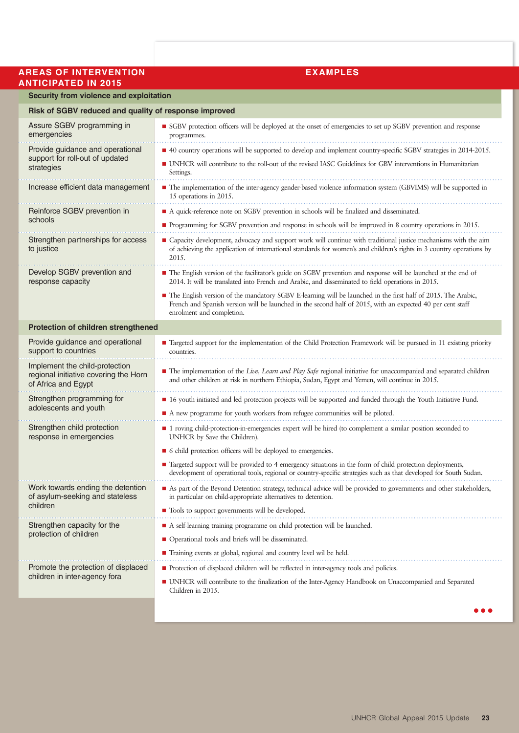#### **AREAS OF INTERVENTION EXAMPLES ANTICIPATED IN 2015**

#### **Security from violence and exploitation**

#### **Risk of SGBV reduced and quality of response improved**

| HOR OF OWN'T FOUNDOW MIN GUARDITY                                                              |                                                                                                                                                                                                                                                         |  |  |
|------------------------------------------------------------------------------------------------|---------------------------------------------------------------------------------------------------------------------------------------------------------------------------------------------------------------------------------------------------------|--|--|
| Assure SGBV programming in<br>emergencies                                                      | SGBV protection officers will be deployed at the onset of emergencies to set up SGBV prevention and response<br>programmes.                                                                                                                             |  |  |
| Provide guidance and operational                                                               | ■ 40 country operations will be supported to develop and implement country-specific SGBV strategies in 2014-2015.                                                                                                                                       |  |  |
| support for roll-out of updated<br>strategies                                                  | ■ UNHCR will contribute to the roll-out of the revised IASC Guidelines for GBV interventions in Humanitarian<br>Settings.                                                                                                                               |  |  |
| Increase efficient data management                                                             | The implementation of the inter-agency gender-based violence information system (GBVIMS) will be supported in<br>15 operations in 2015.                                                                                                                 |  |  |
| Reinforce SGBV prevention in<br>schools                                                        | A quick-reference note on SGBV prevention in schools will be finalized and disseminated.                                                                                                                                                                |  |  |
|                                                                                                | ■ Programming for SGBV prevention and response in schools will be improved in 8 country operations in 2015.                                                                                                                                             |  |  |
| Strengthen partnerships for access<br>to justice                                               | • Capacity development, advocacy and support work will continue with traditional justice mechanisms with the aim<br>of achieving the application of international standards for women's and children's rights in 3 country operations by<br>2015.       |  |  |
| Develop SGBV prevention and<br>response capacity                                               | The English version of the facilitator's guide on SGBV prevention and response will be launched at the end of<br>2014. It will be translated into French and Arabic, and disseminated to field operations in 2015.                                      |  |  |
|                                                                                                | The English version of the mandatory SGBV E-learning will be launched in the first half of 2015. The Arabic,<br>French and Spanish version will be launched in the second half of 2015, with an expected 40 per cent staff<br>enrolment and completion. |  |  |
| Protection of children strengthened                                                            |                                                                                                                                                                                                                                                         |  |  |
| Provide guidance and operational<br>support to countries                                       | ■ Targeted support for the implementation of the Child Protection Framework will be pursued in 11 existing priority<br>countries.                                                                                                                       |  |  |
| Implement the child-protection<br>regional initiative covering the Horn<br>of Africa and Egypt | The implementation of the Live, Learn and Play Safe regional initiative for unaccompanied and separated children<br>and other children at risk in northern Ethiopia, Sudan, Egypt and Yemen, will continue in 2015.                                     |  |  |
| Strengthen programming for                                                                     | ■ 16 youth-initiated and led protection projects will be supported and funded through the Youth Initiative Fund.                                                                                                                                        |  |  |
| adolescents and youth                                                                          | A new programme for youth workers from refugee communities will be piloted.                                                                                                                                                                             |  |  |
| Strengthen child protection<br>response in emergencies                                         | ■ 1 roving child-protection-in-emergencies expert will be hired (to complement a similar position seconded to<br>UNHCR by Save the Children).                                                                                                           |  |  |
|                                                                                                | • 6 child protection officers will be deployed to emergencies.                                                                                                                                                                                          |  |  |
|                                                                                                | ■ Targeted support will be provided to 4 emergency situations in the form of child protection deployments,<br>development of operational tools, regional or country-specific strategies such as that developed for South Sudan.                         |  |  |
| Work towards ending the detention<br>of asylum-seeking and stateless<br>children               | As part of the Beyond Detention strategy, technical advice will be provided to governments and other stakeholders,<br>in particular on child-appropriate alternatives to detention.                                                                     |  |  |
|                                                                                                | ■ Tools to support governments will be developed.                                                                                                                                                                                                       |  |  |
| Strengthen capacity for the<br>protection of children                                          | A self-learning training programme on child protection will be launched.                                                                                                                                                                                |  |  |
|                                                                                                | • Operational tools and briefs will be disseminated.                                                                                                                                                                                                    |  |  |
|                                                                                                | ■ Training events at global, regional and country level wil be held.                                                                                                                                                                                    |  |  |
| Promote the protection of displaced                                                            | Protection of displaced children will be reflected in inter-agency tools and policies.                                                                                                                                                                  |  |  |
| children in inter-agency fora                                                                  | • UNHCR will contribute to the finalization of the Inter-Agency Handbook on Unaccompanied and Separated<br>Children in 2015.                                                                                                                            |  |  |

 $\bullet\bullet\bullet$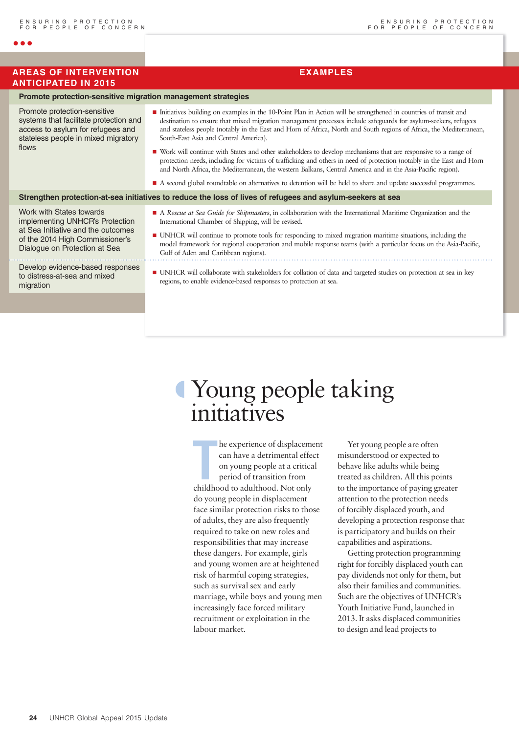#### **AREAS OF INTERVENTION EXAMPLES ANTICIPATED IN 2015**

 $\bullet$   $\bullet$ 

flov

### **24** UNHCR Global Appeal 2015 Update

**Promote protection-sensitive migration management strategies** Promote protection-sensitive systems that facilitate protection and Initiatives building on examples in the  $10^{-8}$ 

#### **Strengthen protection-at-sea initiatives to reduce the loss of lives of refugees and asylum-seekers at sea**

## º Young people taking initiatives

**THEOR ENSIGERT SERVIS CONTINUIST**<br> **THEOR CONTINUIST** CONDITIONS AND THEOR OF CHILD PETIOD OF TRANSITION CONDITIONS CONDITION CONDITIONS CONDITION CONDITIONS CONDITIONS CONDITIONS CONDITIONS CONDITIONS CONDITIONS CONDITIO he experience of displacement can have a detrimental effect on young people at a critical period of transition from do young people in displacement face similar protection risks to those of adults, they are also frequently required to take on new roles and responsibilities that may increase these dangers. For example, girls and young women are at heightened risk of harmful coping strategies, such as survival sex and early marriage, while boys and young men increasingly face forced military recruitment or exploitation in the labour market.

Yet young people are often misunderstood or expected to behave like adults while being treated as children. All this points to the importance of paying greater attention to the protection needs of forcibly displaced youth, and developing a protection response that is participatory and builds on their capabilities and aspirations.

Getting protection programming right for forcibly displaced youth can pay dividends not only for them, but also their families and communities. Such are the objectives of UNHCR's Youth Initiative Fund, launched in 2013. It asks displaced communities to design and lead projects to

| Promote protection-sensitive<br>systems that facilitate protection and<br>access to asylum for refugees and<br>stateless people in mixed migratory<br>flows           | Initiatives building on examples in the 10-Point Plan in Action will be strengthened in countries of transit and<br>destination to ensure that mixed migration management processes include safeguards for asylum-seekers, refugees<br>and stateless people (notably in the East and Horn of Africa, North and South regions of Africa, the Mediterranean,<br>South-East Asia and Central America).<br>■ Work will continue with States and other stakeholders to develop mechanisms that are responsive to a range of<br>protection needs, including for victims of trafficking and others in need of protection (notably in the East and Horn<br>and North Africa, the Mediterranean, the western Balkans, Central America and in the Asia-Pacific region).<br>A second global roundtable on alternatives to detention will be held to share and update successful programmes. |  |  |  |  |  |
|-----------------------------------------------------------------------------------------------------------------------------------------------------------------------|----------------------------------------------------------------------------------------------------------------------------------------------------------------------------------------------------------------------------------------------------------------------------------------------------------------------------------------------------------------------------------------------------------------------------------------------------------------------------------------------------------------------------------------------------------------------------------------------------------------------------------------------------------------------------------------------------------------------------------------------------------------------------------------------------------------------------------------------------------------------------------|--|--|--|--|--|
|                                                                                                                                                                       | Strengthen protection-at-sea initiatives to reduce the loss of lives of refugees and asylum-seekers at sea                                                                                                                                                                                                                                                                                                                                                                                                                                                                                                                                                                                                                                                                                                                                                                       |  |  |  |  |  |
| Work with States towards<br>implementing UNHCR's Protection<br>at Sea Initiative and the outcomes<br>of the 2014 High Commissioner's<br>Dialogue on Protection at Sea | • A Rescue at Sea Guide for Shipmasters, in collaboration with the International Maritime Organization and the<br>International Chamber of Shipping, will be revised.<br>■ UNHCR will continue to promote tools for responding to mixed migration maritime situations, including the<br>model framework for regional cooperation and mobile response teams (with a particular focus on the Asia-Pacific,<br>Gulf of Aden and Caribbean regions).                                                                                                                                                                                                                                                                                                                                                                                                                                 |  |  |  |  |  |
| Develop evidence-based responses<br>to distress-at-sea and mixed<br>migration                                                                                         | • UNHCR will collaborate with stakeholders for collation of data and targeted studies on protection at sea in key<br>regions, to enable evidence-based responses to protection at sea.                                                                                                                                                                                                                                                                                                                                                                                                                                                                                                                                                                                                                                                                                           |  |  |  |  |  |
|                                                                                                                                                                       |                                                                                                                                                                                                                                                                                                                                                                                                                                                                                                                                                                                                                                                                                                                                                                                                                                                                                  |  |  |  |  |  |
|                                                                                                                                                                       |                                                                                                                                                                                                                                                                                                                                                                                                                                                                                                                                                                                                                                                                                                                                                                                                                                                                                  |  |  |  |  |  |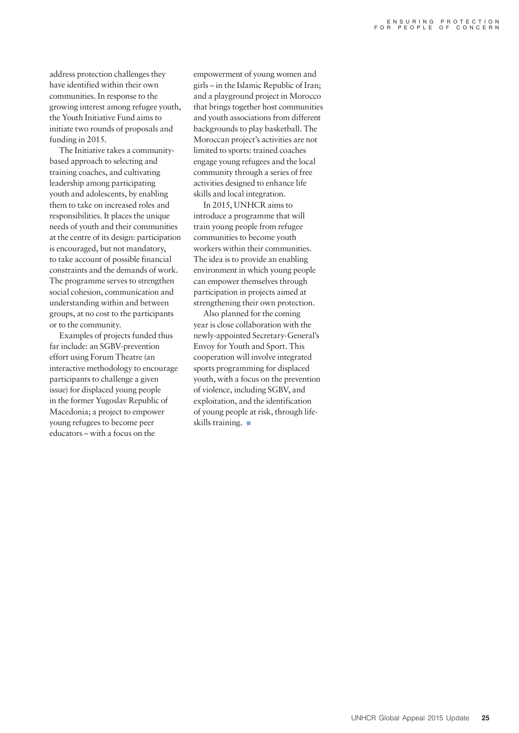address protection challenges they have identified within their own communities. In response to the growing interest among refugee youth, the Youth Initiative Fund aims to initiate two rounds of proposals and funding in 2015.

The Initiative takes a communitybased approach to selecting and training coaches, and cultivating leadership among participating youth and adolescents, by enabling them to take on increased roles and responsibilities. It places the unique needs of youth and their communities at the centre of its design: participation is encouraged, but not mandatory, to take account of possible financial constraints and the demands of work. The programme serves to strengthen social cohesion, communication and understanding within and between groups, at no cost to the participants or to the community.

Examples of projects funded thus far include: an SGBV-prevention effort using Forum Theatre (an interactive methodology to encourage participants to challenge a given issue) for displaced young people in the former Yugoslav Republic of Macedonia; a project to empower young refugees to become peer educators – with a focus on the

empowerment of young women and girls – in the Islamic Republic of Iran; and a playground project in Morocco that brings together host communities and youth associations from different backgrounds to play basketball. The Moroccan project's activities are not limited to sports: trained coaches engage young refugees and the local community through a series of free activities designed to enhance life skills and local integration.

In 2015, UNHCR aims to introduce a programme that will train young people from refugee communities to become youth workers within their communities. The idea is to provide an enabling environment in which young people can empower themselves through participation in projects aimed at strengthening their own protection.

Also planned for the coming year is close collaboration with the newly-appointed Secretary-General's Envoy for Youth and Sport. This cooperation will involve integrated sports programming for displaced youth, with a focus on the prevention of violence, including SGBV, and exploitation, and the identification of young people at risk, through lifeskills training.  $\blacksquare$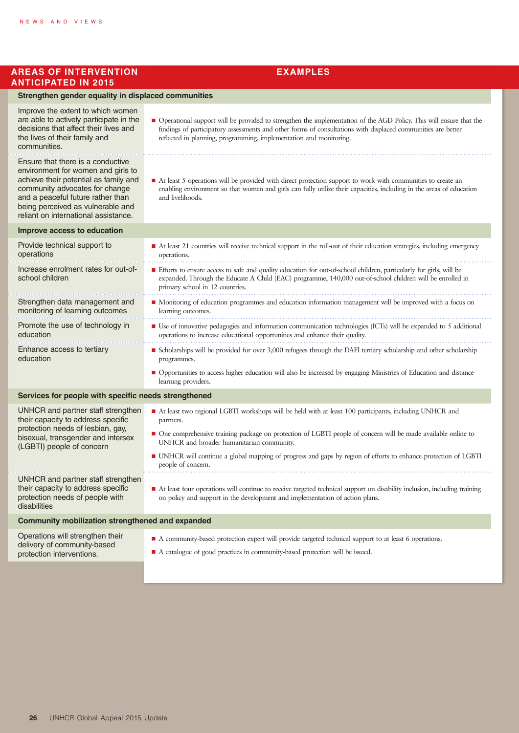#### **AREAS OF INTERVENTION ANTICIPATED IN 2015**

|  |  | <b>EXAMPLES</b> |  |
|--|--|-----------------|--|
|  |  |                 |  |

| Strengthen gender equality in displaced communities                                                                                                                                                                                                                                                                                     |                                                                                                                                                                                                                                                                                                            |  |  |  |
|-----------------------------------------------------------------------------------------------------------------------------------------------------------------------------------------------------------------------------------------------------------------------------------------------------------------------------------------|------------------------------------------------------------------------------------------------------------------------------------------------------------------------------------------------------------------------------------------------------------------------------------------------------------|--|--|--|
| Improve the extent to which women<br>are able to actively participate in the<br>decisions that affect their lives and<br>the lives of their family and<br>communities.                                                                                                                                                                  | • Operational support will be provided to strengthen the implementation of the AGD Policy. This will ensure that the<br>findings of participatory assessments and other forms of consultations with displaced communities are better<br>reflected in planning, programming, implementation and monitoring. |  |  |  |
| Ensure that there is a conductive<br>environment for women and girls to<br>achieve their potential as family and<br>community advocates for change<br>and a peaceful future rather than<br>being perceived as vulnerable and<br>reliant on international assistance.                                                                    | At least 5 operations will be provided with direct protection support to work with communities to create an<br>enabling environment so that women and girls can fully utilize their capacities, including in the areas of education<br>and livelihoods.                                                    |  |  |  |
| Improve access to education                                                                                                                                                                                                                                                                                                             |                                                                                                                                                                                                                                                                                                            |  |  |  |
| Provide technical support to<br>operations                                                                                                                                                                                                                                                                                              | At least 21 countries will receive technical support in the roll-out of their education strategies, including emergency<br>operations.                                                                                                                                                                     |  |  |  |
| Increase enrolment rates for out-of-<br>school children                                                                                                                                                                                                                                                                                 | Efforts to ensure access to safe and quality education for out-of-school children, particularly for girls, will be<br>expanded. Through the Educate A Child (EAC) programme, 140,000 out-of-school children will be enrolled in<br>primary school in 12 countries.                                         |  |  |  |
| Strengthen data management and<br>monitoring of learning outcomes                                                                                                                                                                                                                                                                       | • Monitoring of education programmes and education information management will be improved with a focus on<br>learning outcomes.                                                                                                                                                                           |  |  |  |
| Promote the use of technology in<br>education                                                                                                                                                                                                                                                                                           | ■ Use of innovative pedagogies and information communication technologies (ICTs) will be expanded to 5 additional<br>operations to increase educational opportunities and enhance their quality.                                                                                                           |  |  |  |
| Enhance access to tertiary<br>education                                                                                                                                                                                                                                                                                                 | ■ Scholarships will be provided for over 3,000 refugees through the DAFI tertiary scholarship and other scholarship<br>programmes.                                                                                                                                                                         |  |  |  |
|                                                                                                                                                                                                                                                                                                                                         | • Opportunities to access higher education will also be increased by engaging Ministries of Education and distance<br>learning providers.                                                                                                                                                                  |  |  |  |
| Services for people with specific needs strengthened                                                                                                                                                                                                                                                                                    |                                                                                                                                                                                                                                                                                                            |  |  |  |
| UNHCR and partner staff strengthen<br>their capacity to address specific<br>protection needs of lesbian, gay,<br>bisexual, transgender and intersex<br>(LGBTI) people of concern                                                                                                                                                        | At least two regional LGBTI workshops will be held with at least 100 participants, including UNHCR and<br>partners.                                                                                                                                                                                        |  |  |  |
|                                                                                                                                                                                                                                                                                                                                         | • One comprehensive training package on protection of LGBTI people of concern will be made available online to<br>UNHCR and broader humanitarian community.                                                                                                                                                |  |  |  |
|                                                                                                                                                                                                                                                                                                                                         | • UNHCR will continue a global mapping of progress and gaps by region of efforts to enhance protection of LGBTI<br>people of concern.                                                                                                                                                                      |  |  |  |
| UNHCR and partner staff strengthen<br>their capacity to address specific<br>At least four operations will continue to receive targeted technical support on disability inclusion, including training<br>protection needs of people with<br>on policy and support in the development and implementation of action plans.<br>disabilities |                                                                                                                                                                                                                                                                                                            |  |  |  |
| <b>Community mobilization strengthened and expanded</b>                                                                                                                                                                                                                                                                                 |                                                                                                                                                                                                                                                                                                            |  |  |  |
| Operations will strengthen their<br>delivery of community-based<br>protection interventions.                                                                                                                                                                                                                                            | • A community-based protection expert will provide targeted technical support to at least 6 operations.                                                                                                                                                                                                    |  |  |  |
|                                                                                                                                                                                                                                                                                                                                         | A catalogue of good practices in community-based protection will be issued.                                                                                                                                                                                                                                |  |  |  |